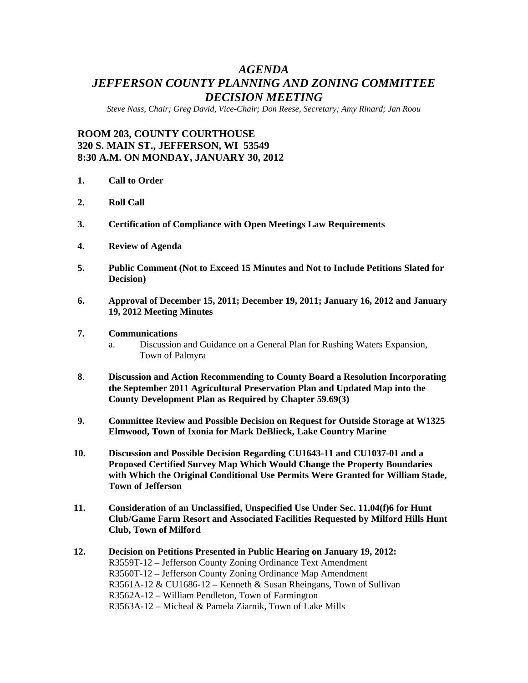## *AGENDA JEFFERSON COUNTY PLANNING AND ZONING COMMITTEE DECISION MEETING*

*Steve Nass, Chair; Greg David, Vice-Chair; Don Reese, Secretary; Amy Rinard; Jan Roou* 

## **ROOM 203, COUNTY COURTHOUSE 320 S. MAIN ST., JEFFERSON, WI 53549 8:30 A.M. ON MONDAY, JANUARY 30, 2012**

- **1. Call to Order**
- **2. Roll Call**
- **3. Certification of Compliance with Open Meetings Law Requirements**
- **4. Review of Agenda**
- **5. Public Comment (Not to Exceed 15 Minutes and Not to Include Petitions Slated for Decision)**
- **6. Approval of December 15, 2011; December 19, 2011; January 16, 2012 and January 19, 2012 Meeting Minutes**
- **7. Communications** 
	- a. Discussion and Guidance on a General Plan for Rushing Waters Expansion, Town of Palmyra
- **8**. **Discussion and Action Recommending to County Board a Resolution Incorporating the September 2011 Agricultural Preservation Plan and Updated Map into the County Development Plan as Required by Chapter 59.69(3)**
- **9. Committee Review and Possible Decision on Request for Outside Storage at W1325 Elmwood, Town of Ixonia for Mark DeBlieck, Lake Country Marine**
- **10. Discussion and Possible Decision Regarding CU1643-11 and CU1037-01 and a Proposed Certified Survey Map Which Would Change the Property Boundaries with Which the Original Conditional Use Permits Were Granted for William Stade, Town of Jefferson**
- **11. Consideration of an Unclassified, Unspecified Use Under Sec. 11.04(f)6 for Hunt Club/Game Farm Resort and Associated Facilities Requested by Milford Hills Hunt Club, Town of Milford**
- **12. Decision on Petitions Presented in Public Hearing on January 19, 2012:**  R3559T-12 – Jefferson County Zoning Ordinance Text Amendment R3560T-12 – Jefferson County Zoning Ordinance Map Amendment R3561A-12 & CU1686-12 – Kenneth & Susan Rheingans, Town of Sullivan R3562A-12 – William Pendleton, Town of Farmington R3563A-12 – Micheal & Pamela Ziarnik, Town of Lake Mills